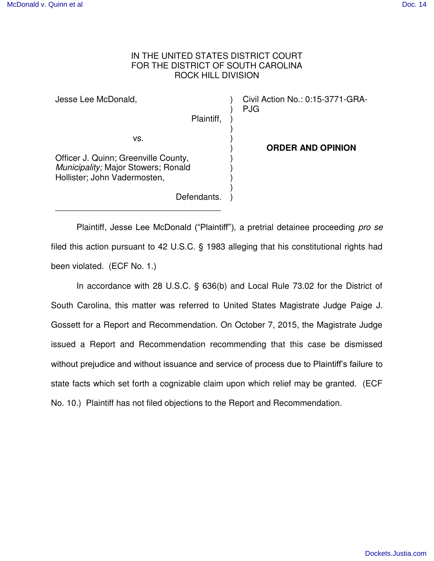## IN THE UNITED STATES DISTRICT COURT FOR THE DISTRICT OF SOUTH CAROLINA ROCK HILL DIVISION

Jesse Lee McDonald, Plaintiff, vs. Officer J. Quinn; Greenville County, *Municipality;* Major Stowers; Ronald Hollister; John Vadermosten, ) ) ) ) ) ) ) ) ) ) Civil Action No.: 0:15-3771-GRA-PJG **ORDER AND OPINION**

Defendants.

 $\frac{1}{2}$  ,  $\frac{1}{2}$  ,  $\frac{1}{2}$  ,  $\frac{1}{2}$  ,  $\frac{1}{2}$  ,  $\frac{1}{2}$  ,  $\frac{1}{2}$  ,  $\frac{1}{2}$  ,  $\frac{1}{2}$  ,  $\frac{1}{2}$  ,  $\frac{1}{2}$  ,  $\frac{1}{2}$  ,  $\frac{1}{2}$  ,  $\frac{1}{2}$  ,  $\frac{1}{2}$  ,  $\frac{1}{2}$  ,  $\frac{1}{2}$  ,  $\frac{1}{2}$  ,  $\frac{1$ 

Plaintiff, Jesse Lee McDonald ("Plaintiff"), a pretrial detainee proceeding *pro se* filed this action pursuant to 42 U.S.C. § 1983 alleging that his constitutional rights had been violated. (ECF No. 1.)

)

 In accordance with 28 U.S.C. § 636(b) and Local Rule 73.02 for the District of South Carolina, this matter was referred to United States Magistrate Judge Paige J. Gossett for a Report and Recommendation. On October 7, 2015, the Magistrate Judge issued a Report and Recommendation recommending that this case be dismissed without prejudice and without issuance and service of process due to Plaintiff's failure to state facts which set forth a cognizable claim upon which relief may be granted. (ECF No. 10.) Plaintiff has not filed objections to the Report and Recommendation.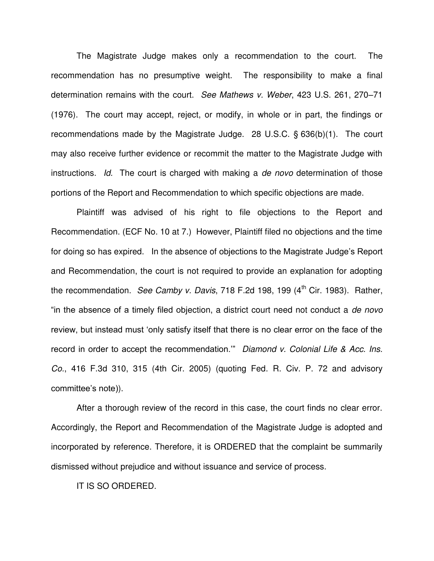The Magistrate Judge makes only a recommendation to the court. The recommendation has no presumptive weight. The responsibility to make a final determination remains with the court. *See Mathews v. Weber*, 423 U.S. 261, 270–71 (1976). The court may accept, reject, or modify, in whole or in part, the findings or recommendations made by the Magistrate Judge. 28 U.S.C. § 636(b)(1). The court may also receive further evidence or recommit the matter to the Magistrate Judge with instructions. *Id.* The court is charged with making a *de novo* determination of those portions of the Report and Recommendation to which specific objections are made.

 Plaintiff was advised of his right to file objections to the Report and Recommendation. (ECF No. 10 at 7.) However, Plaintiff filed no objections and the time for doing so has expired. In the absence of objections to the Magistrate Judge's Report and Recommendation, the court is not required to provide an explanation for adopting the recommendation. *See Camby v. Davis*, 718 F.2d 198, 199 (4<sup>th</sup> Cir. 1983). Rather, "in the absence of a timely filed objection, a district court need not conduct a *de novo*  review, but instead must 'only satisfy itself that there is no clear error on the face of the record in order to accept the recommendation.'" *Diamond v. Colonial Life & Acc. Ins. Co.*, 416 F.3d 310, 315 (4th Cir. 2005) (quoting Fed. R. Civ. P. 72 and advisory committee's note)).

 After a thorough review of the record in this case, the court finds no clear error. Accordingly, the Report and Recommendation of the Magistrate Judge is adopted and incorporated by reference. Therefore, it is ORDERED that the complaint be summarily dismissed without prejudice and without issuance and service of process.

IT IS SO ORDERED.